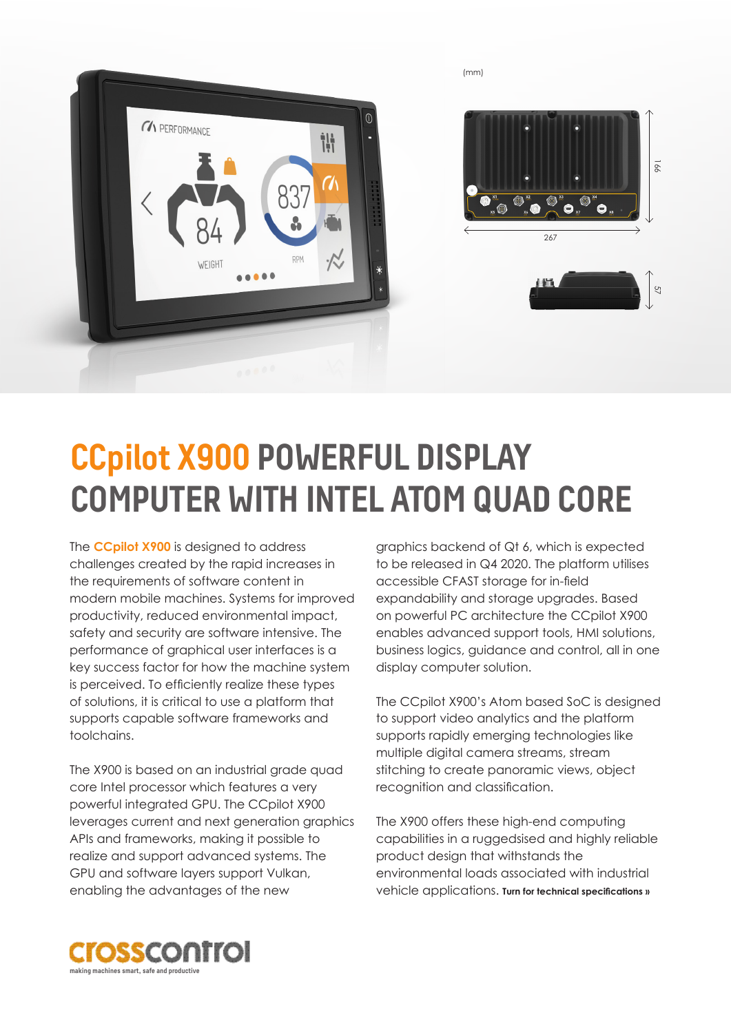

## **CCpilot X900 POWERFUL DISPLAY COMPUTER WITH INTEL ATOM QUAD CORE**

The **CCpilot X900** is designed to address challenges created by the rapid increases in the requirements of software content in modern mobile machines. Systems for improved productivity, reduced environmental impact, safety and security are software intensive. The performance of graphical user interfaces is a key success factor for how the machine system is perceived. To efficiently realize these types of solutions, it is critical to use a platform that supports capable software frameworks and toolchains.

The X900 is based on an industrial grade quad core Intel processor which features a very powerful integrated GPU. The CCpilot X900 leverages current and next generation graphics APIs and frameworks, making it possible to realize and support advanced systems. The GPU and software layers support Vulkan, enabling the advantages of the new

graphics backend of Qt 6, which is expected to be released in Q4 2020. The platform utilises accessible CFAST storage for in-field expandability and storage upgrades. Based on powerful PC architecture the CCpilot X900 enables advanced support tools, HMI solutions, business logics, guidance and control, all in one display computer solution.

The CCpilot X900's Atom based SoC is designed to support video analytics and the platform supports rapidly emerging technologies like multiple digital camera streams, stream stitching to create panoramic views, object recognition and classification.

The X900 offers these high-end computing capabilities in a ruggedsised and highly reliable product design that withstands the environmental loads associated with industrial vehicle applications. **Turn for technical specifications »**